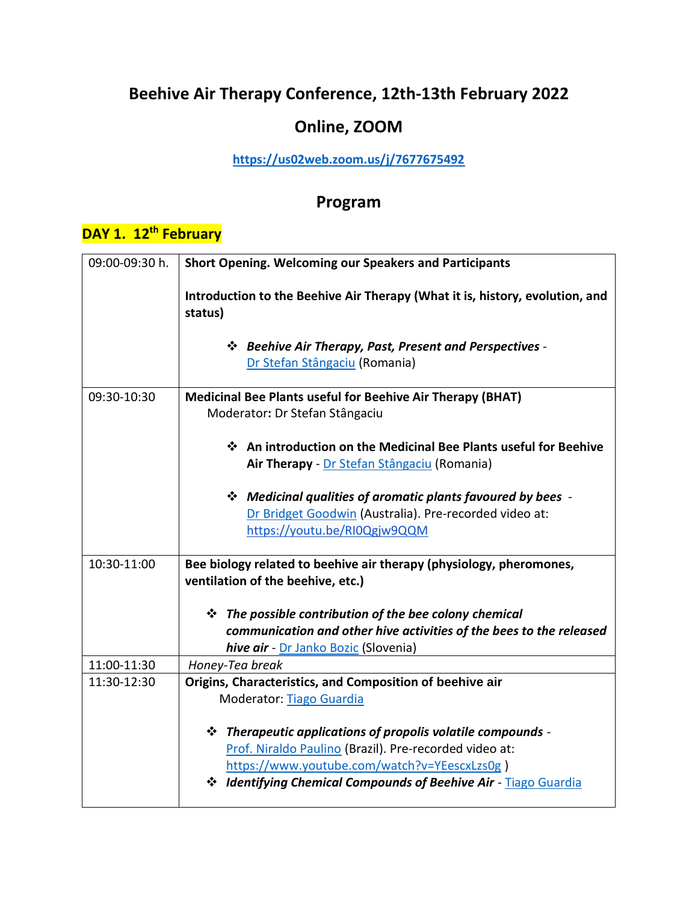# **Beehive Air Therapy Conference, 12th-13th February 2022**

## **Online, ZOOM**

#### **<https://us02web.zoom.us/j/7677675492>**

### **Program**

## **DAY 1. 12th February**

| 09:00-09:30 h. | <b>Short Opening. Welcoming our Speakers and Participants</b>                                                                                                                                                                                 |
|----------------|-----------------------------------------------------------------------------------------------------------------------------------------------------------------------------------------------------------------------------------------------|
|                | Introduction to the Beehive Air Therapy (What it is, history, evolution, and<br>status)                                                                                                                                                       |
|                | ❖ Beehive Air Therapy, Past, Present and Perspectives -<br>Dr Stefan Stângaciu (Romania)                                                                                                                                                      |
| 09:30-10:30    | <b>Medicinal Bee Plants useful for Beehive Air Therapy (BHAT)</b><br>Moderator: Dr Stefan Stângaciu                                                                                                                                           |
|                | ❖ An introduction on the Medicinal Bee Plants useful for Beehive<br>Air Therapy - Dr Stefan Stângaciu (Romania)                                                                                                                               |
|                | ❖ Medicinal qualities of aromatic plants favoured by bees -<br>Dr Bridget Goodwin (Australia). Pre-recorded video at:<br>https://youtu.be/RI0Qgjw9QQM                                                                                         |
| 10:30-11:00    | Bee biology related to beehive air therapy (physiology, pheromones,<br>ventilation of the beehive, etc.)                                                                                                                                      |
|                | $\div$ The possible contribution of the bee colony chemical                                                                                                                                                                                   |
|                | communication and other hive activities of the bees to the released                                                                                                                                                                           |
|                | hive air - Dr Janko Bozic (Slovenia)                                                                                                                                                                                                          |
| 11:00-11:30    | Honey-Tea break                                                                                                                                                                                                                               |
| 11:30-12:30    | Origins, Characteristics, and Composition of beehive air                                                                                                                                                                                      |
|                | Moderator: Tiago Guardia                                                                                                                                                                                                                      |
|                | $\div$ Therapeutic applications of propolis volatile compounds -<br>Prof. Niraldo Paulino (Brazil). Pre-recorded video at:<br>https://www.youtube.com/watch?v=YEescxLzs0g)<br>* Identifying Chemical Compounds of Beehive Air - Tiago Guardia |
|                |                                                                                                                                                                                                                                               |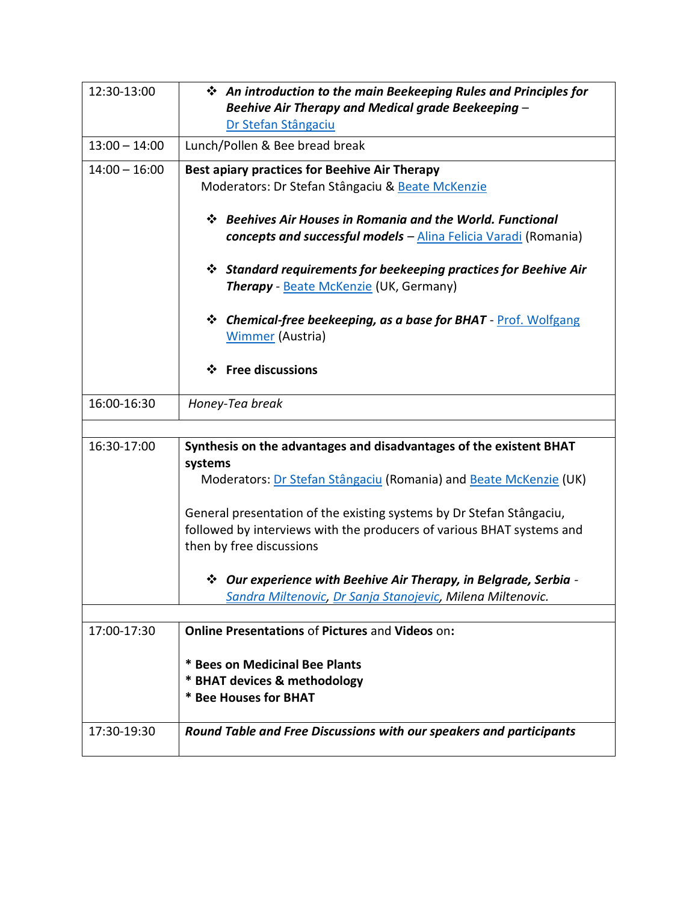| 12:30-13:00     | ❖ An introduction to the main Beekeeping Rules and Principles for<br>Beehive Air Therapy and Medical grade Beekeeping -                                                   |
|-----------------|---------------------------------------------------------------------------------------------------------------------------------------------------------------------------|
|                 | Dr Stefan Stângaciu                                                                                                                                                       |
| $13:00 - 14:00$ | Lunch/Pollen & Bee bread break                                                                                                                                            |
| $14:00 - 16:00$ | Best apiary practices for Beehive Air Therapy<br>Moderators: Dr Stefan Stângaciu & Beate McKenzie                                                                         |
|                 | ❖ Beehives Air Houses in Romania and the World. Functional<br><b>concepts and successful models</b> – Alina Felicia Varadi (Romania)                                      |
|                 | <b>☆</b> Standard requirements for beekeeping practices for Beehive Air<br>Therapy - Beate McKenzie (UK, Germany)                                                         |
|                 | <b>Chemical-free beekeeping, as a base for BHAT - Prof. Wolfgang</b><br>❖<br><b>Wimmer (Austria)</b>                                                                      |
|                 | $\div$ Free discussions                                                                                                                                                   |
| 16:00-16:30     | Honey-Tea break                                                                                                                                                           |
| 16:30-17:00     |                                                                                                                                                                           |
|                 | Synthesis on the advantages and disadvantages of the existent BHAT<br>systems                                                                                             |
|                 | Moderators: Dr Stefan Stângaciu (Romania) and Beate McKenzie (UK)                                                                                                         |
|                 | General presentation of the existing systems by Dr Stefan Stângaciu,<br>followed by interviews with the producers of various BHAT systems and<br>then by free discussions |
|                 | V Our experience with Beehive Air Therapy, in Belgrade, Serbia -<br>Sandra Miltenovic, Dr Sanja Stanojevic, Milena Miltenovic.                                            |
|                 |                                                                                                                                                                           |
| 17:00-17:30     | <b>Online Presentations of Pictures and Videos on:</b>                                                                                                                    |
|                 | * Bees on Medicinal Bee Plants                                                                                                                                            |
|                 | * BHAT devices & methodology                                                                                                                                              |
|                 | * Bee Houses for BHAT                                                                                                                                                     |
| 17:30-19:30     | Round Table and Free Discussions with our speakers and participants                                                                                                       |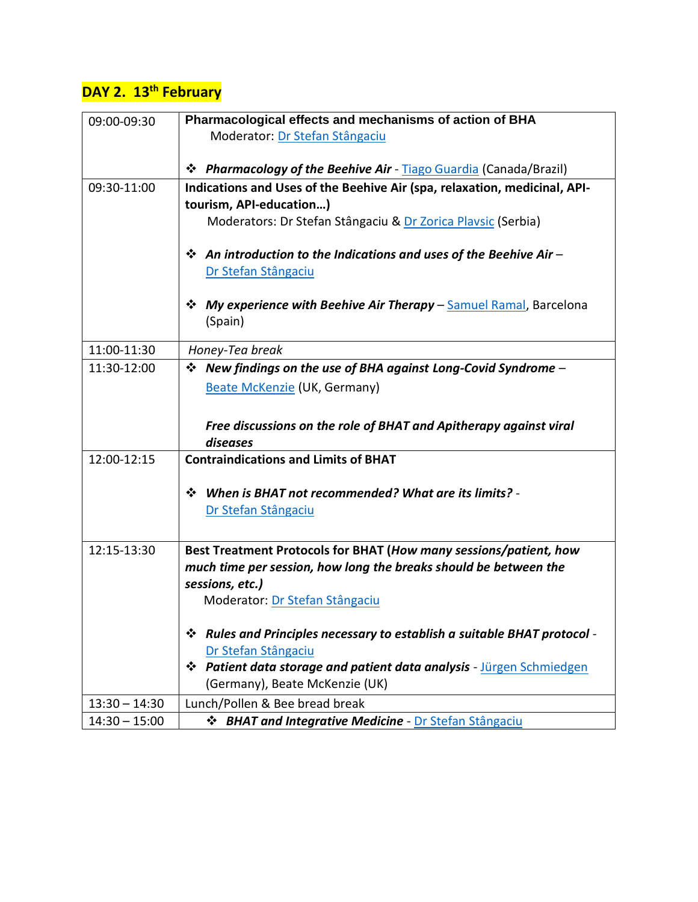# **DAY 2. 13th February**

| 09:00-09:30     | Pharmacological effects and mechanisms of action of BHA<br>Moderator: Dr Stefan Stângaciu |  |
|-----------------|-------------------------------------------------------------------------------------------|--|
|                 |                                                                                           |  |
|                 | <b>☆</b> Pharmacology of the Beehive Air - Tiago Guardia (Canada/Brazil)                  |  |
| 09:30-11:00     | Indications and Uses of the Beehive Air (spa, relaxation, medicinal, API-                 |  |
|                 | tourism, API-education)                                                                   |  |
|                 | Moderators: Dr Stefan Stângaciu & Dr Zorica Playsic (Serbia)                              |  |
|                 | $\mathbf{\hat{P}}$ An introduction to the Indications and uses of the Beehive Air -       |  |
|                 | Dr Stefan Stângaciu                                                                       |  |
|                 | <b>☆</b> My experience with Beehive Air Therapy – Samuel Ramal, Barcelona                 |  |
|                 | (Spain)                                                                                   |  |
| 11:00-11:30     | Honey-Tea break                                                                           |  |
| 11:30-12:00     | $\div$ New findings on the use of BHA against Long-Covid Syndrome –                       |  |
|                 |                                                                                           |  |
|                 | <b>Beate McKenzie (UK, Germany)</b>                                                       |  |
|                 |                                                                                           |  |
|                 | Free discussions on the role of BHAT and Apitherapy against viral                         |  |
|                 | diseases                                                                                  |  |
| 12:00-12:15     | <b>Contraindications and Limits of BHAT</b>                                               |  |
|                 | Vertheral When is BHAT not recommended? What are its limits? -                            |  |
|                 | Dr Stefan Stângaciu                                                                       |  |
|                 |                                                                                           |  |
| 12:15-13:30     | Best Treatment Protocols for BHAT (How many sessions/patient, how                         |  |
|                 | much time per session, how long the breaks should be between the                          |  |
|                 | sessions, etc.)                                                                           |  |
|                 | Moderator: Dr Stefan Stângaciu                                                            |  |
|                 | V Rules and Principles necessary to establish a suitable BHAT protocol -                  |  |
|                 | Dr Stefan Stângaciu                                                                       |  |
|                 | * Patient data storage and patient data analysis - Jürgen Schmiedgen                      |  |
|                 | (Germany), Beate McKenzie (UK)                                                            |  |
| $13:30 - 14:30$ | Lunch/Pollen & Bee bread break                                                            |  |
| $14:30 - 15:00$ | <b>☆ BHAT and Integrative Medicine - Dr Stefan Stângaciu</b>                              |  |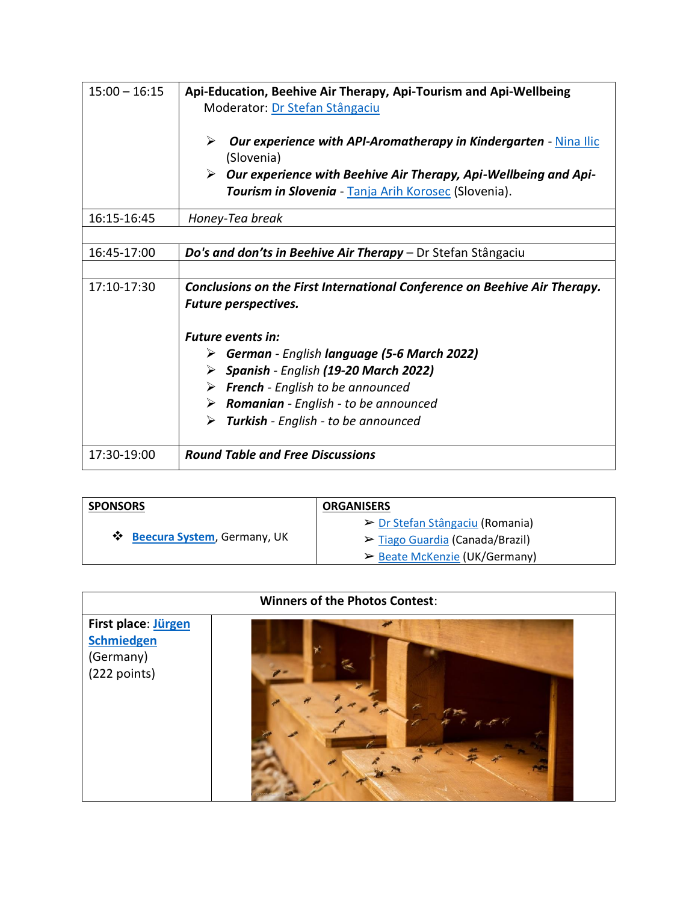| $15:00 - 16:15$ | Api-Education, Beehive Air Therapy, Api-Tourism and Api-Wellbeing<br>Moderator: Dr Stefan Stângaciu                     |
|-----------------|-------------------------------------------------------------------------------------------------------------------------|
|                 | ➤<br><b>Our experience with API-Aromatherapy in Kindergarten - Nina Ilic</b><br>(Slovenia)                              |
|                 | Our experience with Beehive Air Therapy, Api-Wellbeing and Api-<br>Tourism in Slovenia - Tanja Arih Korosec (Slovenia). |
| 16:15-16:45     | Honey-Tea break                                                                                                         |
|                 |                                                                                                                         |
| 16:45-17:00     | Do's and don'ts in Beehive Air Therapy - Dr Stefan Stângaciu                                                            |
|                 |                                                                                                                         |
| 17:10-17:30     | Conclusions on the First International Conference on Beehive Air Therapy.                                               |
|                 | Future perspectives.                                                                                                    |
|                 |                                                                                                                         |
|                 | <b>Future events in:</b>                                                                                                |
|                 | $\triangleright$ German - English language (5-6 March 2022)                                                             |
|                 | $\triangleright$ Spanish - English (19-20 March 2022)                                                                   |
|                 | $\triangleright$ French - English to be announced                                                                       |
|                 | $\triangleright$ Romanian - English - to be announced                                                                   |
|                 | ≻<br><b>Turkish</b> - English - to be announced                                                                         |
| 17:30-19:00     | <b>Round Table and Free Discussions</b>                                                                                 |

| <b>SPONSORS</b>                       | <b>ORGANISERS</b>                              |
|---------------------------------------|------------------------------------------------|
|                                       | $\triangleright$ Dr Stefan Stângaciu (Romania) |
| <b>**</b> Beecura System, Germany, UK | $\triangleright$ Tiago Guardia (Canada/Brazil) |
|                                       | $\triangleright$ Beate McKenzie (UK/Germany)   |

| <b>Winners of the Photos Contest:</b>                                 |  |  |
|-----------------------------------------------------------------------|--|--|
| First place: Jürgen<br><b>Schmiedgen</b><br>(Germany)<br>(222 points) |  |  |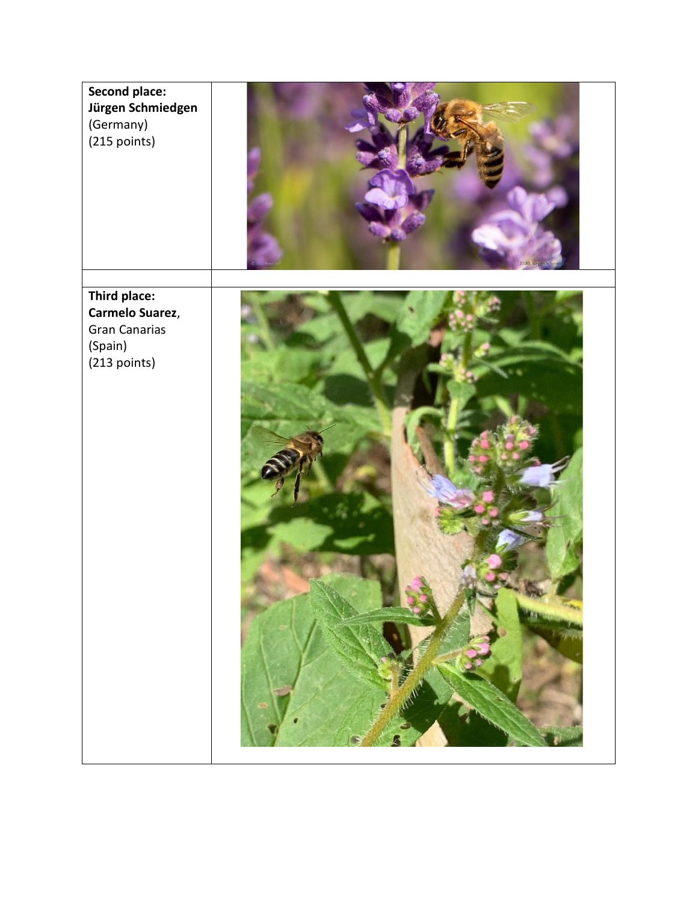